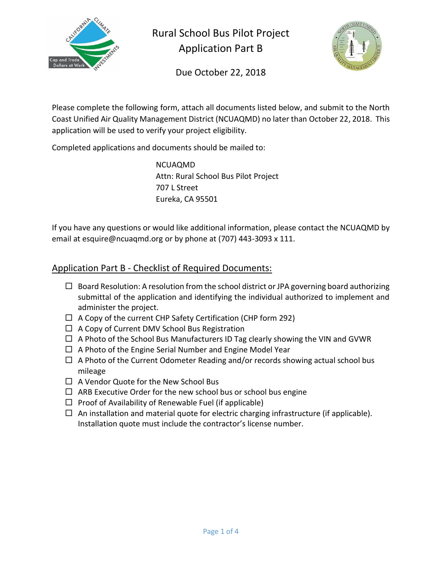

Rural School Bus Pilot Project Application Part B



Due October 22, 2018

Please complete the following form, attach all documents listed below, and submit to the North Coast Unified Air Quality Management District (NCUAQMD) no later than October 22, 2018. This application will be used to verify your project eligibility.

Completed applications and documents should be mailed to:

NCUAQMD Attn: Rural School Bus Pilot Project 707 L Street Eureka, CA 95501

If you have any questions or would like additional information, please contact the NCUAQMD by email at esquire@ncuaqmd.org or by phone at (707) 443-3093 x 111.

## Application Part B - Checklist of Required Documents:

- $\Box$  Board Resolution: A resolution from the school district or JPA governing board authorizing submittal of the application and identifying the individual authorized to implement and administer the project.
- $\Box$  A Copy of the current CHP Safety Certification (CHP form 292)
- $\Box$  A Copy of Current DMV School Bus Registration
- $\Box$  A Photo of the School Bus Manufacturers ID Tag clearly showing the VIN and GVWR
- $\Box$  A Photo of the Engine Serial Number and Engine Model Year
- $\Box$  A Photo of the Current Odometer Reading and/or records showing actual school bus mileage
- $\Box$  A Vendor Quote for the New School Bus
- $\Box$  ARB Executive Order for the new school bus or school bus engine
- $\Box$  Proof of Availability of Renewable Fuel (if applicable)
- $\Box$  An installation and material quote for electric charging infrastructure (if applicable). Installation quote must include the contractor's license number.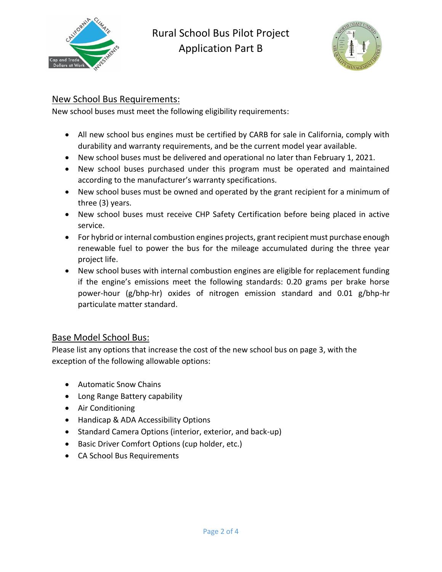



### New School Bus Requirements:

New school buses must meet the following eligibility requirements:

- All new school bus engines must be certified by CARB for sale in California, comply with durability and warranty requirements, and be the current model year available.
- New school buses must be delivered and operational no later than February 1, 2021.
- New school buses purchased under this program must be operated and maintained according to the manufacturer's warranty specifications.
- New school buses must be owned and operated by the grant recipient for a minimum of three (3) years.
- New school buses must receive CHP Safety Certification before being placed in active service.
- For hybrid or internal combustion engines projects, grant recipient must purchase enough renewable fuel to power the bus for the mileage accumulated during the three year project life.
- New school buses with internal combustion engines are eligible for replacement funding if the engine's emissions meet the following standards: 0.20 grams per brake horse power-hour (g/bhp-hr) oxides of nitrogen emission standard and 0.01 g/bhp-hr particulate matter standard.

## Base Model School Bus:

Please list any options that increase the cost of the new school bus on page 3, with the exception of the following allowable options:

- Automatic Snow Chains
- Long Range Battery capability
- Air Conditioning
- Handicap & ADA Accessibility Options
- Standard Camera Options (interior, exterior, and back-up)
- Basic Driver Comfort Options (cup holder, etc.)
- CA School Bus Requirements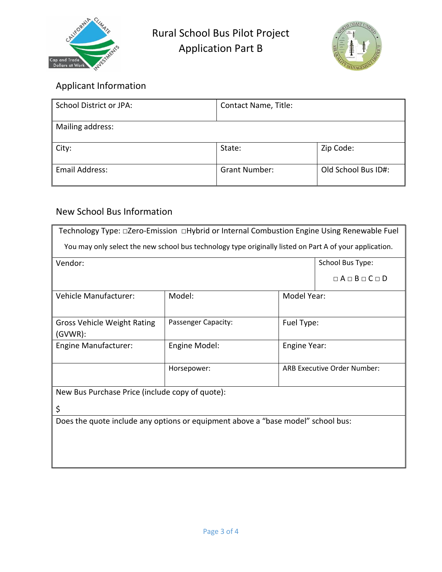



# Applicant Information

| <b>School District or JPA:</b> | Contact Name, Title: |                     |
|--------------------------------|----------------------|---------------------|
| Mailing address:               |                      |                     |
| City:                          | State:               | Zip Code:           |
| <b>Email Address:</b>          | <b>Grant Number:</b> | Old School Bus ID#: |

# New School Bus Information

| Technology Type: □Zero-Emission □Hybrid or Internal Combustion Engine Using Renewable Fuel              |                     |                                    |                               |  |
|---------------------------------------------------------------------------------------------------------|---------------------|------------------------------------|-------------------------------|--|
| You may only select the new school bus technology type originally listed on Part A of your application. |                     |                                    |                               |  |
| Vendor:                                                                                                 |                     | School Bus Type:                   |                               |  |
|                                                                                                         |                     |                                    | $\Box A \Box B \Box C \Box D$ |  |
| Vehicle Manufacturer:                                                                                   | Model:              |                                    | Model Year:                   |  |
| Gross Vehicle Weight Rating<br>(GVWR):                                                                  | Passenger Capacity: | Fuel Type:                         |                               |  |
| <b>Engine Manufacturer:</b>                                                                             | Engine Model:       | Engine Year:                       |                               |  |
|                                                                                                         | Horsepower:         | <b>ARB Executive Order Number:</b> |                               |  |
| New Bus Purchase Price (include copy of quote):                                                         |                     |                                    |                               |  |
| \$                                                                                                      |                     |                                    |                               |  |
| Does the quote include any options or equipment above a "base model" school bus:                        |                     |                                    |                               |  |